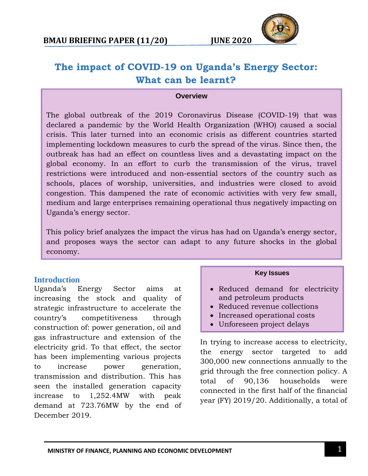

# **The impact of COVID-19 on Uganda's Energy Sector: What can be learnt?**

#### **Overview**

The global outbreak of the 2019 Coronavirus Disease (COVID-19) that was declared a pandemic by the World Health Organization (WHO) caused a social crisis. This later turned into an economic crisis as different countries started implementing lockdown measures to curb the spread of the virus. Since then, the outbreak has had an effect on countless lives and a devastating impact on the global economy. In an effort to curb the transmission of the virus, travel restrictions were introduced and non-essential sectors of the country such as schools, places of worship, universities, and industries were closed to avoid congestion. This dampened the rate of economic activities with very few small, medium and large enterprises remaining operational thus negatively impacting on Uganda's energy sector.

This policy brief analyzes the impact the virus has had on Uganda's energy sector, and proposes ways the sector can adapt to any future shocks in the global economy.

### **Introduction**

Uganda's Energy Sector aims at increasing the stock and quality of strategic infrastructure to accelerate the country's competitiveness through construction of: power generation, oil and gas infrastructure and extension of the electricity grid. To that effect, the sector has been implementing various projects to increase power generation, transmission and distribution. This has seen the installed generation capacity increase to 1,252.4MW with peak demand at 723.76MW by the end of December 2019.

### **Key Issues**

- Reduced demand for electricity and petroleum products
- Reduced revenue collections
- Increased operational costs
- Unforeseen project delays

In trying to increase access to electricity, the energy sector targeted to add 300,000 new connections annually to the grid through the free connection policy. A total of 90,136 households were connected in the first half of the financial year (FY) 2019/20. Additionally, a total of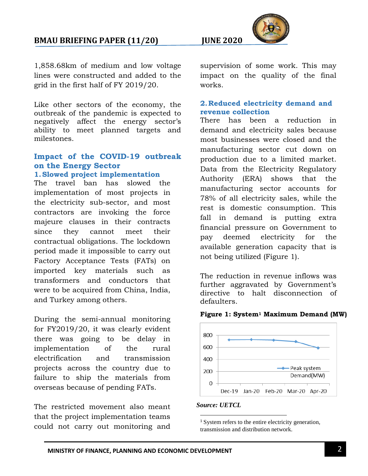# **BMAU BRIEFING PAPER (11/20) JUNE 2020**



1,858.68km of medium and low voltage lines were constructed and added to the grid in the first half of FY 2019/20.

Like other sectors of the economy, the outbreak of the pandemic is expected to negatively affect the energy sector's ability to meet planned targets and milestones.

# **Impact of the COVID-19 outbreak on the Energy Sector 1.Slowed project implementation**

The travel ban has slowed the implementation of most projects in the electricity sub-sector, and most contractors are invoking the force majeure clauses in their contracts since they cannot meet their contractual obligations. The lockdown period made it impossible to carry out Factory Acceptance Tests (FATs) on imported key materials such as transformers and conductors that were to be acquired from China, India, and Turkey among others.

During the semi-annual monitoring for FY2019/20, it was clearly evident there was going to be delay in implementation of the rural electrification and transmission projects across the country due to failure to ship the materials from overseas because of pending FATs.

The restricted movement also meant that the project implementation teams could not carry out monitoring and supervision of some work. This may impact on the quality of the final works.

# **2.Reduced electricity demand and revenue collection**

There has been a reduction in demand and electricity sales because most businesses were closed and the manufacturing sector cut down on production due to a limited market. Data from the Electricity Regulatory Authority (ERA) shows that the manufacturing sector accounts for 78% of all electricity sales, while the rest is domestic consumption. This fall in demand is putting extra financial pressure on Government to pay deemed electricity for the available generation capacity that is not being utilized (Figure 1).

The reduction in revenue inflows was further aggravated by Government's directive to halt disconnection of defaulters.



#### **Figure 1: System<sup>1</sup> Maximum Demand (MW)**

#### *Source: UETCL*

 $\overline{a}$ 

<sup>1</sup> System refers to the entire electricity generation, transmission and distribution network.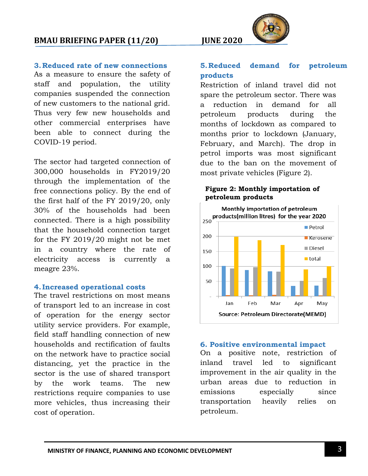

#### **3.Reduced rate of new connections**

As a measure to ensure the safety of staff and population, the utility companies suspended the connection of new customers to the national grid. Thus very few new households and other commercial enterprises have been able to connect during the COVID-19 period.

The sector had targeted connection of 300,000 households in FY2019/20 through the implementation of the free connections policy. By the end of the first half of the FY 2019/20, only 30% of the households had been connected. There is a high possibility that the household connection target for the FY 2019/20 might not be met in a country where the rate of electricity access is currently a meagre 23%.

#### **4. Increased operational costs**

The travel restrictions on most means of transport led to an increase in cost of operation for the energy sector utility service providers. For example, field staff handling connection of new households and rectification of faults on the network have to practice social distancing, yet the practice in the sector is the use of shared transport by the work teams. The new restrictions require companies to use more vehicles, thus increasing their cost of operation.

#### **5.Reduced demand for petroleum products**

Restriction of inland travel did not spare the petroleum sector. There was a reduction in demand for all petroleum products during the months of lockdown as compared to months prior to lockdown (January, February, and March). The drop in petrol imports was most significant due to the ban on the movement of most private vehicles (Figure 2).

#### **Figure 2: Monthly importation of petroleum products**



#### **6. Positive environmental impact**

On a positive note, restriction of inland travel led to significant improvement in the air quality in the urban areas due to reduction in emissions especially since transportation heavily relies on petroleum.